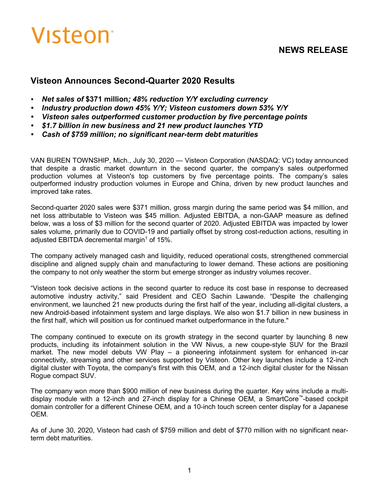# Visteon<sup>®</sup>

# **NEWS RELEASE**

# **Visteon Announces Second-Quarter 2020 Results**

- *• Net sales of* **\$371 million***; 48% reduction Y/Y excluding currency*
- *• Industry production down 45% Y/Y; Visteon customers down 53% Y/Y*
- *• Visteon sales outperformed customer production by five percentage points*
- *• \$1.7 billion in new business and 21 new product launches YTD*
- *• Cash of \$759 million; no significant near-term debt maturities*

VAN BUREN TOWNSHIP, Mich., July 30, 2020 — Visteon Corporation (NASDAQ: VC) today announced that despite a drastic market downturn in the second quarter, the company's sales outperformed production volumes at Visteon's top customers by five percentage points. The company's sales outperformed industry production volumes in Europe and China, driven by new product launches and improved take rates.

Second-quarter 2020 sales were \$371 million, gross margin during the same period was \$4 million, and net loss attributable to Visteon was \$45 million. Adjusted EBITDA, a non-GAAP measure as defined below, was a loss of \$3 million for the second quarter of 2020. Adjusted EBITDA was impacted by lower sales volume, primarily due to COVID-19 and partially offset by strong cost-reduction actions, resulting in adjusted EBITDA decremental margin<sup>1</sup> of 15%.

The company actively managed cash and liquidity, reduced operational costs, strengthened commercial discipline and aligned supply chain and manufacturing to lower demand. These actions are positioning the company to not only weather the storm but emerge stronger as industry volumes recover.

"Visteon took decisive actions in the second quarter to reduce its cost base in response to decreased automotive industry activity," said President and CEO Sachin Lawande. "Despite the challenging environment, we launched 21 new products during the first half of the year, including all-digital clusters, a new Android-based infotainment system and large displays. We also won \$1.7 billion in new business in the first half, which will position us for continued market outperformance in the future."

The company continued to execute on its growth strategy in the second quarter by launching 8 new products, including its infotainment solution in the VW Nivus, a new coupe-style SUV for the Brazil market. The new model debuts VW Play – a pioneering infotainment system for enhanced in-car connectivity, streaming and other services supported by Visteon. Other key launches include a 12-inch digital cluster with Toyota, the company's first with this OEM, and a 12-inch digital cluster for the Nissan Rogue compact SUV.

The company won more than \$900 million of new business during the quarter. Key wins include a multidisplay module with a 12-inch and 27-inch display for a Chinese OEM, a SmartCore™-based cockpit domain controller for a different Chinese OEM, and a 10-inch touch screen center display for a Japanese OEM.

As of June 30, 2020, Visteon had cash of \$759 million and debt of \$770 million with no significant nearterm debt maturities.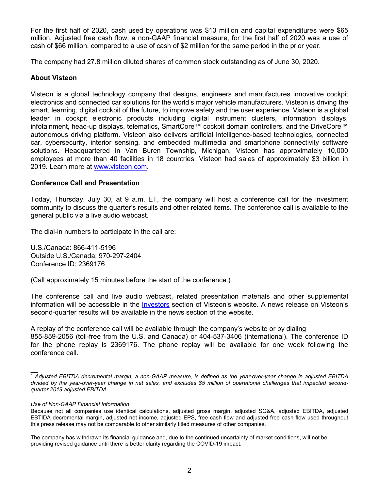For the first half of 2020, cash used by operations was \$13 million and capital expenditures were \$65 million. Adjusted free cash flow, a non-GAAP financial measure, for the first half of 2020 was a use of cash of \$66 million, compared to a use of cash of \$2 million for the same period in the prior year.

The company had 27.8 million diluted shares of common stock outstanding as of June 30, 2020.

### **About Visteon**

Visteon is a global technology company that designs, engineers and manufactures innovative cockpit electronics and connected car solutions for the world's major vehicle manufacturers. Visteon is driving the smart, learning, digital cockpit of the future, to improve safety and the user experience. Visteon is a global leader in cockpit electronic products including digital instrument clusters, information displays, infotainment, head-up displays, telematics, SmartCore™ cockpit domain controllers, and the DriveCore™ autonomous driving platform. Visteon also delivers artificial intelligence-based technologies, connected car, cybersecurity, interior sensing, and embedded multimedia and smartphone connectivity software solutions. Headquartered in Van Buren Township, Michigan, Visteon has approximately 10,000 employees at more than 40 facilities in 18 countries. Visteon had sales of approximately \$3 billion in 2019. Learn more at www.visteon.com.

#### **Conference Call and Presentation**

Today, Thursday, July 30, at 9 a.m. ET, the company will host a conference call for the investment community to discuss the quarter's results and other related items. The conference call is available to the general public via a live audio webcast.

The dial-in numbers to participate in the call are:

U.S./Canada: 866-411-5196 Outside U.S./Canada: 970-297-2404 Conference ID: 2369176

(Call approximately 15 minutes before the start of the conference.)

The conference call and live audio webcast, related presentation materials and other supplemental information will be accessible in the [Investors](https://investors.visteon.com/) section of Visteon's website. A news release on Visteon's second-quarter results will be available in the news section of the website.

A replay of the conference call will be available through the company's website or by dialing 855-859-2056 (toll-free from the U.S. and Canada) or 404-537-3406 (international). The conference ID for the phone replay is 2369176. The phone replay will be available for one week following the conference call.

#### *Use of Non-GAAP Financial Information*

 $\overline{\phantom{a}}$ *<sup>1</sup> Adjusted EBITDA decremental margin, a non-GAAP measure, is defined as the year-over-year change in adjusted EBITDA divided by the year-over-year change in net sales, and excludes \$5 million of operational challenges that impacted secondquarter 2019 adjusted EBITDA.*

Because not all companies use identical calculations, adjusted gross margin, adjusted SG&A, adjusted EBITDA, adjusted EBTIDA decremental margin, adjusted net income, adjusted EPS, free cash flow and adjusted free cash flow used throughout this press release may not be comparable to other similarly titled measures of other companies.

The company has withdrawn its financial guidance and, due to the continued uncertainty of market conditions, will not be providing revised guidance until there is better clarity regarding the COVID-19 impact.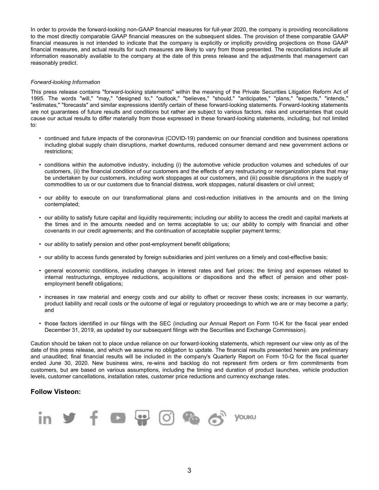In order to provide the forward-looking non-GAAP financial measures for full-year 2020, the company is providing reconciliations to the most directly comparable GAAP financial measures on the subsequent slides. The provision of these comparable GAAP financial measures is not intended to indicate that the company is explicitly or implicitly providing projections on those GAAP financial measures, and actual results for such measures are likely to vary from those presented. The reconciliations include all information reasonably available to the company at the date of this press release and the adjustments that management can reasonably predict.

#### *Forward-looking Information*

This press release contains "forward-looking statements" within the meaning of the Private Securities Litigation Reform Act of 1995. The words "will," "may," "designed to," "outlook," "believes," "should," "anticipates," "plans," "expects," "intends," "estimates," "forecasts" and similar expressions identify certain of these forward-looking statements. Forward-looking statements are not guarantees of future results and conditions but rather are subject to various factors, risks and uncertainties that could cause our actual results to differ materially from those expressed in these forward-looking statements, including, but not limited to:

- continued and future impacts of the coronavirus (COVID-19) pandemic on our financial condition and business operations including global supply chain disruptions, market downturns, reduced consumer demand and new government actions or restrictions;
- conditions within the automotive industry, including (i) the automotive vehicle production volumes and schedules of our customers, (ii) the financial condition of our customers and the effects of any restructuring or reorganization plans that may be undertaken by our customers, including work stoppages at our customers, and (iii) possible disruptions in the supply of commodities to us or our customers due to financial distress, work stoppages, natural disasters or civil unrest;
- our ability to execute on our transformational plans and cost-reduction initiatives in the amounts and on the timing contemplated;
- our ability to satisfy future capital and liquidity requirements; including our ability to access the credit and capital markets at the times and in the amounts needed and on terms acceptable to us; our ability to comply with financial and other covenants in our credit agreements; and the continuation of acceptable supplier payment terms;
- our ability to satisfy pension and other post-employment benefit obligations;
- our ability to access funds generated by foreign subsidiaries and joint ventures on a timely and cost-effective basis;
- general economic conditions, including changes in interest rates and fuel prices; the timing and expenses related to internal restructurings, employee reductions, acquisitions or dispositions and the effect of pension and other postemployment benefit obligations;
- increases in raw material and energy costs and our ability to offset or recover these costs; increases in our warranty, product liability and recall costs or the outcome of legal or regulatory proceedings to which we are or may become a party; and
- those factors identified in our filings with the SEC (including our Annual Report on Form 10-K for the fiscal year ended December 31, 2019, as updated by our subsequent filings with the Securities and Exchange Commission).

Caution should be taken not to place undue reliance on our forward-looking statements, which represent our view only as of the date of this press release, and which we assume no obligation to update. The financial results presented herein are preliminary and unaudited; final financial results will be included in the company's Quarterly Report on Form 10-Q for the fiscal quarter ended June 30, 2020. New business wins, re-wins and backlog do not represent firm orders or firm commitments from customers, but are based on various assumptions, including the timing and duration of product launches, vehicle production levels, customer cancellations, installation rates, customer price reductions and currency exchange rates.

#### **Follow Visteon:**

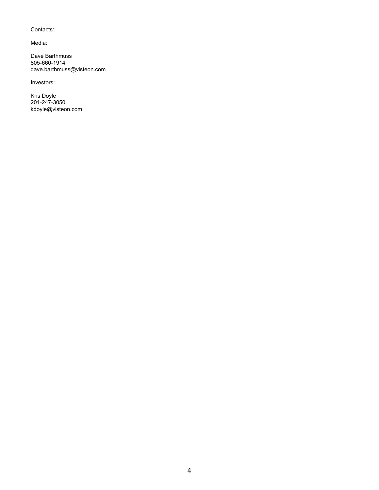#### Contacts:

Media:

Dave Barthmuss 805-660-1914 dave.barthmuss@visteon.com

Investors:

Kris Doyle 201-247-3050 kdoyle@visteon.com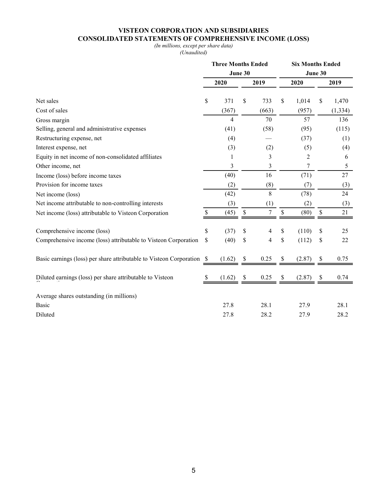## **VISTEON CORPORATION AND SUBSIDIARIES CONSOLIDATED STATEMENTS OF COMPREHENSIVE INCOME (LOSS)**

#### *(In millions, except per share data)*

*(Unaudited)*

|                                                                     | <b>Three Months Ended</b> |        |    |       |      | <b>Six Months Ended</b> |         |          |  |  |  |
|---------------------------------------------------------------------|---------------------------|--------|----|-------|------|-------------------------|---------|----------|--|--|--|
|                                                                     | June 30                   |        |    |       |      |                         | June 30 |          |  |  |  |
|                                                                     | 2020                      |        |    | 2019  | 2020 |                         | 2019    |          |  |  |  |
| Net sales                                                           | \$                        | 371    | \$ | 733   | \$   | 1,014                   | \$      | 1,470    |  |  |  |
| Cost of sales                                                       |                           | (367)  |    | (663) |      | (957)                   |         | (1, 334) |  |  |  |
| Gross margin                                                        |                           | 4      |    | 70    |      | 57                      |         | 136      |  |  |  |
| Selling, general and administrative expenses                        |                           | (41)   |    | (58)  |      | (95)                    |         | (115)    |  |  |  |
| Restructuring expense, net                                          |                           | (4)    |    |       |      | (37)                    |         | (1)      |  |  |  |
| Interest expense, net                                               |                           | (3)    |    | (2)   |      | (5)                     |         | (4)      |  |  |  |
| Equity in net income of non-consolidated affiliates                 |                           | 1      |    | 3     |      | 2                       |         | 6        |  |  |  |
| Other income, net                                                   |                           | 3      |    | 3     |      | 7                       |         | 5        |  |  |  |
| Income (loss) before income taxes                                   |                           | (40)   |    | 16    |      | (71)                    |         | 27       |  |  |  |
| Provision for income taxes                                          |                           | (2)    |    | (8)   |      | (7)                     |         | (3)      |  |  |  |
| Net income (loss)                                                   |                           | (42)   |    | 8     |      | (78)                    |         | 24       |  |  |  |
| Net income attributable to non-controlling interests                |                           | (3)    |    | (1)   |      | (2)                     |         | (3)      |  |  |  |
| Net income (loss) attributable to Visteon Corporation               | \$                        | (45)   | \$ | 7     | $\$$ | (80)                    | \$      | 21       |  |  |  |
| Comprehensive income (loss)                                         | \$                        | (37)   | \$ | 4     | \$   | (110)                   | \$      | 25       |  |  |  |
| Comprehensive income (loss) attributable to Visteon Corporation     | \$                        | (40)   | \$ | 4     | \$   | (112)                   | \$      | 22       |  |  |  |
| Basic earnings (loss) per share attributable to Visteon Corporation | -S                        | (1.62) | \$ | 0.25  | \$   | (2.87)                  | \$      | 0.75     |  |  |  |
| Diluted earnings (loss) per share attributable to Visteon           | \$                        | (1.62) | \$ | 0.25  | \$   | (2.87)                  | \$      | 0.74     |  |  |  |
| Average shares outstanding (in millions)                            |                           |        |    |       |      |                         |         |          |  |  |  |
| <b>Basic</b>                                                        |                           | 27.8   |    | 28.1  |      | 27.9                    |         | 28.1     |  |  |  |
| Diluted                                                             |                           | 27.8   |    | 28.2  |      | 27.9                    |         | 28.2     |  |  |  |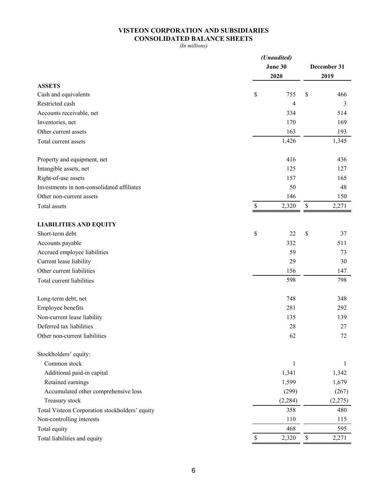## **VISTEON CORPORATION AND SUBSIDIARIES CONSOLIDATED BALANCE SHEETS**

*(In millions)*

|                                                | (Unaudited) |             |    |         |  |  |  |  |
|------------------------------------------------|-------------|-------------|----|---------|--|--|--|--|
|                                                | June 30     | December 31 |    |         |  |  |  |  |
|                                                | 2020        |             |    | 2019    |  |  |  |  |
| <b>ASSETS</b>                                  |             |             |    |         |  |  |  |  |
| Cash and equivalents                           | \$          | 755         | \$ | 466     |  |  |  |  |
| Restricted cash                                |             | 4           |    | 3       |  |  |  |  |
| Accounts receivable, net                       |             | 334         |    | 514     |  |  |  |  |
| Inventories, net                               |             | 170         |    | 169     |  |  |  |  |
| Other current assets                           |             | 163         |    | 193     |  |  |  |  |
| Total current assets                           |             | 1,426       |    | 1,345   |  |  |  |  |
| Property and equipment, net                    |             | 416         |    | 436     |  |  |  |  |
| Intangible assets, net                         |             | 125         |    | 127     |  |  |  |  |
| Right-of-use assets                            |             | 157         |    | 165     |  |  |  |  |
| Investments in non-consolidated affiliates     |             | 50          |    | 48      |  |  |  |  |
| Other non-current assets                       |             | 146         |    | 150     |  |  |  |  |
| Total assets                                   | \$          | 2,320       | \$ | 2,271   |  |  |  |  |
| <b>LIABILITIES AND EQUITY</b>                  |             |             |    |         |  |  |  |  |
| Short-term debt                                | \$          | 22          | \$ | 37      |  |  |  |  |
| Accounts payable                               |             | 332         |    | 511     |  |  |  |  |
| Accrued employee liabilities                   |             | 59          |    | 73      |  |  |  |  |
| Current lease liability                        |             | 29          |    | 30      |  |  |  |  |
| Other current liabilities                      |             | 156         |    | 147     |  |  |  |  |
| Total current liabilities                      |             | 598         |    | 798     |  |  |  |  |
| Long-term debt, net                            |             | 748         |    | 348     |  |  |  |  |
| Employee benefits                              |             | 281         |    | 292     |  |  |  |  |
| Non-current lease liability                    |             | 135         |    | 139     |  |  |  |  |
| Deferred tax liabilities                       |             | 28          |    | 27      |  |  |  |  |
| Other non-current liabilities                  |             | 62          |    | 72      |  |  |  |  |
| Stockholders' equity:                          |             |             |    |         |  |  |  |  |
| Common stock                                   |             | 1           |    | 1       |  |  |  |  |
| Additional paid-in capital                     |             | 1,341       |    | 1,342   |  |  |  |  |
| Retained earnings                              |             | 1,599       |    | 1,679   |  |  |  |  |
| Accumulated other comprehensive loss           |             | (299)       |    | (267)   |  |  |  |  |
| Treasury stock                                 |             | (2, 284)    |    | (2,275) |  |  |  |  |
| Total Visteon Corporation stockholders' equity |             | 358         |    | 480     |  |  |  |  |
| Non-controlling interests                      |             | 110         |    | 115     |  |  |  |  |
| Total equity                                   |             | 468         |    | 595     |  |  |  |  |
| Total liabilities and equity                   | \$          | 2,320       | \$ | 2,271   |  |  |  |  |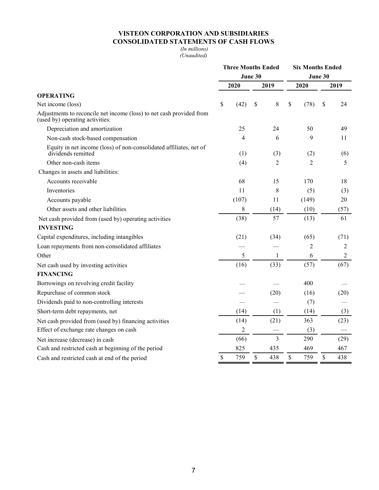# **VISTEON CORPORATION AND SUBSIDIARIES CONSOLIDATED STATEMENTS OF CASH FLOWS**

*(In millions) (Unaudited)*

|                                                                                                         | <b>Three Months Ended</b> |                |      |                |      | <b>Six Months Ended</b> |      |                |  |  |
|---------------------------------------------------------------------------------------------------------|---------------------------|----------------|------|----------------|------|-------------------------|------|----------------|--|--|
|                                                                                                         | June 30                   |                |      | June 30        |      |                         |      |                |  |  |
|                                                                                                         | 2020                      |                | 2019 |                | 2020 |                         | 2019 |                |  |  |
| <b>OPERATING</b>                                                                                        |                           |                |      |                |      |                         |      |                |  |  |
| Net income (loss)                                                                                       | \$                        | (42)           | \$   | $8\,$          | \$   | (78)                    | \$   | 24             |  |  |
| Adjustments to reconcile net income (loss) to net cash provided from<br>(used by) operating activities: |                           |                |      |                |      |                         |      |                |  |  |
| Depreciation and amortization                                                                           |                           | 25             |      | 24             |      | 50                      |      | 49             |  |  |
| Non-cash stock-based compensation                                                                       |                           | $\overline{4}$ |      | 6              |      | 9                       |      | 11             |  |  |
| Equity in net income (loss) of non-consolidated affiliates, net of<br>dividends remitted                |                           | (1)            |      | (3)            |      | (2)                     |      | (6)            |  |  |
| Other non-cash items                                                                                    |                           | (4)            |      | 2              |      | $\overline{2}$          |      | 5              |  |  |
| Changes in assets and liabilities:                                                                      |                           |                |      |                |      |                         |      |                |  |  |
| Accounts receivable                                                                                     |                           | 68             |      | 15             |      | 170                     |      | 18             |  |  |
| Inventories                                                                                             |                           | 11             |      | 8              |      | (5)                     |      | (3)            |  |  |
| Accounts payable                                                                                        |                           | (107)          |      | 11             |      | (149)                   |      | 20             |  |  |
| Other assets and other liabilities                                                                      |                           | 8              |      | (14)           |      | (10)                    |      | (57)           |  |  |
| Net cash provided from (used by) operating activities                                                   |                           | (38)           |      | 57             |      | (13)                    |      | 61             |  |  |
| <b>INVESTING</b>                                                                                        |                           |                |      |                |      |                         |      |                |  |  |
| Capital expenditures, including intangibles                                                             |                           | (21)           |      | (34)           |      | (65)                    |      | (71)           |  |  |
| Loan repayments from non-consolidated affiliates                                                        |                           |                |      |                |      | $\overline{2}$          |      | $\overline{2}$ |  |  |
| Other                                                                                                   |                           | 5              |      | 1              |      | 6                       |      | $\overline{c}$ |  |  |
| Net cash used by investing activities                                                                   |                           | (16)           |      | (33)           |      | (57)                    |      | (67)           |  |  |
| <b>FINANCING</b>                                                                                        |                           |                |      |                |      |                         |      |                |  |  |
| Borrowings on revolving credit facility                                                                 |                           |                |      |                |      | 400                     |      |                |  |  |
| Repurchase of common stock                                                                              |                           |                |      | (20)           |      | (16)                    |      | (20)           |  |  |
| Dividends paid to non-controlling interests                                                             |                           |                |      |                |      | (7)                     |      |                |  |  |
| Short-term debt repayments, net                                                                         |                           | (14)           |      | (1)            |      | (14)                    |      | (3)            |  |  |
| Net cash provided from (used by) financing activities                                                   |                           | (14)           |      | (21)           |      | 363                     |      | (23)           |  |  |
| Effect of exchange rate changes on cash                                                                 |                           | $\overline{2}$ |      |                |      | (3)                     |      |                |  |  |
| Net increase (decrease) in cash                                                                         |                           | (66)           |      | $\overline{3}$ |      | 290                     |      | (29)           |  |  |
| Cash and restricted cash at beginning of the period                                                     |                           | 825            |      | 435            |      | 469                     |      | 467            |  |  |
| Cash and restricted cash at end of the period                                                           | \$                        | 759            | \$   | 438            | \$   | 759                     | \$   | 438            |  |  |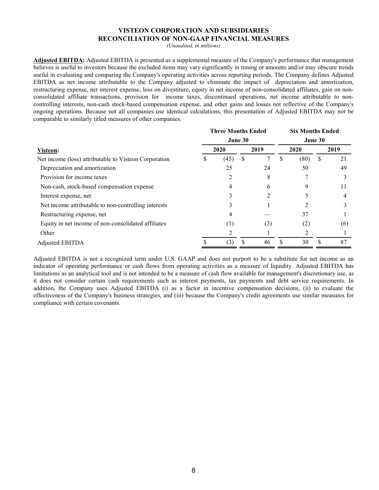#### **VISTEON CORPORATION AND SUBSIDIARIES RECONCILIATION OF NON-GAAP FINANCIAL MEASURES**

*(Unaudited, in millions)*

**Adjusted EBITDA:** Adjusted EBITDA is presented as a supplemental measure of the Company's performance that management believes is useful to investors because the excluded items may vary significantly in timing or amounts and/or may obscure trends useful in evaluating and comparing the Company's operating activities across reporting periods. The Company defines Adjusted EBITDA as net income attributable to the Company adjusted to eliminate the impact of depreciation and amortization, restructuring expense, net interest expense, loss on divestiture, equity in net income of non-consolidated affiliates, gain on nonconsolidated affiliate transactions, provision for income taxes, discontinued operations, net income attributable to noncontrolling interests, non-cash stock-based compensation expense, and other gains and losses not reflective of the Company's ongoing operations. Because not all companies use identical calculations, this presentation of Adjusted EBITDA may not be comparable to similarly titled measures of other companies.

|      |                  |      |         | <b>Six Months Ended</b>   |      |   |      |  |
|------|------------------|------|---------|---------------------------|------|---|------|--|
|      |                  |      | June 30 |                           |      |   |      |  |
| 2020 |                  | 2019 |         | 2020                      |      |   | 2019 |  |
|      | (45)             | S    |         | ۰D.                       | (80) | S | 21   |  |
|      | 25               |      | 24      |                           | 50   |   | 49   |  |
|      | 2                |      | 8       |                           |      |   |      |  |
|      | 4                |      | 6       |                           | 9    |   | 11   |  |
|      |                  |      |         |                           |      |   | 4    |  |
|      |                  |      |         |                           |      |   |      |  |
|      | 4                |      |         |                           | 37   |   |      |  |
|      | $\left(1\right)$ |      | (3)     |                           | (2)  |   | (6)  |  |
|      |                  |      |         |                           |      |   |      |  |
|      | (3)              |      | 46      | ¢                         | 30   |   | 87   |  |
|      |                  |      | June 30 | <b>Three Months Ended</b> |      |   |      |  |

Adjusted EBITDA is not a recognized term under U.S. GAAP and does not purport to be a substitute for net income as an indicator of operating performance or cash flows from operating activities as a measure of liquidity. Adjusted EBITDA has limitations as an analytical tool and is not intended to be a measure of cash flow available for management's discretionary use, as it does not consider certain cash requirements such as interest payments, tax payments and debt service requirements. In addition, the Company uses Adjusted EBITDA (i) as a factor in incentive compensation decisions, (ii) to evaluate the effectiveness of the Company's business strategies, and (iii) because the Company's credit agreements use similar measures for compliance with certain covenants.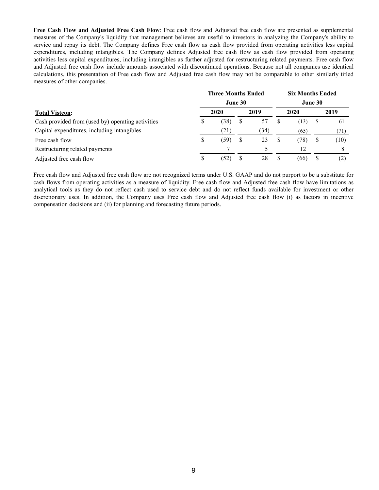**Free Cash Flow and Adjusted Free Cash Flow**: Free cash flow and Adjusted free cash flow are presented as supplemental measures of the Company's liquidity that management believes are useful to investors in analyzing the Company's ability to service and repay its debt. The Company defines Free cash flow as cash flow provided from operating activities less capital expenditures, including intangibles. The Company defines Adjusted free cash flow as cash flow provided from operating activities less capital expenditures, including intangibles as further adjusted for restructuring related payments. Free cash flow and Adjusted free cash flow include amounts associated with discontinued operations. Because not all companies use identical calculations, this presentation of Free cash flow and Adjusted free cash flow may not be comparable to other similarly titled measures of other companies.

|                                                   | <b>Three Months Ended</b> | <b>Six Months Ended</b> |      |      |      |         |   |      |  |
|---------------------------------------------------|---------------------------|-------------------------|------|------|------|---------|---|------|--|
|                                                   | June 30                   |                         |      |      |      | June 30 |   |      |  |
| <b>Total Visteon:</b>                             | 2020                      |                         | 2019 |      | 2020 |         |   | 2019 |  |
| Cash provided from (used by) operating activities | S                         | (38)                    | S    | 57   | \$   | (13)    | Ъ | 61   |  |
| Capital expenditures, including intangibles       |                           | (21)                    |      | (34) |      | (65)    |   | (71) |  |
| Free cash flow                                    | S                         | (59)                    | S    | 23   | S    | (78)    | S | (10) |  |
| Restructuring related payments                    |                           |                         |      |      |      | 12      |   | 8    |  |
| Adjusted free cash flow                           |                           | (52)                    |      | 28   | S    | (66)    |   |      |  |

Free cash flow and Adjusted free cash flow are not recognized terms under U.S. GAAP and do not purport to be a substitute for cash flows from operating activities as a measure of liquidity. Free cash flow and Adjusted free cash flow have limitations as analytical tools as they do not reflect cash used to service debt and do not reflect funds available for investment or other discretionary uses. In addition, the Company uses Free cash flow and Adjusted free cash flow (i) as factors in incentive compensation decisions and (ii) for planning and forecasting future periods.